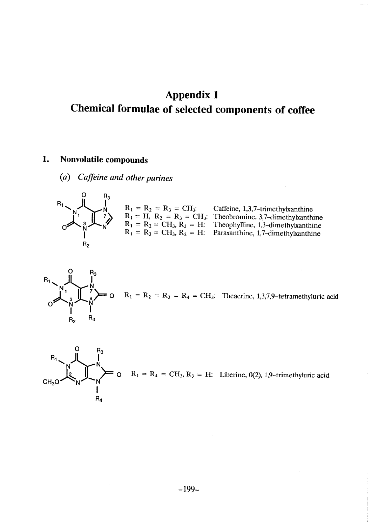# Appendix 1 Chemical formulae of selected components of coffee

#### 1. Nonvolatile compounds

(a) Caffeine and other purines



 $R_1 = R_2 = R_3 = CH_3$  $R_1 = H$ ,  $R_2 = R_3 = CH_3$ :  $R_1 = R_2 = CH_3, R_3 = H$  $R_1 = R_3 = CH_3, R_2 = H:$ Caffeine, 1,3,7-trimethylxanthine Theobromine, 3,7-dimethylxanthine Theophylline, 1,3-dimethylxanthine Paraxanthine, 1,7-dimethylxanthine



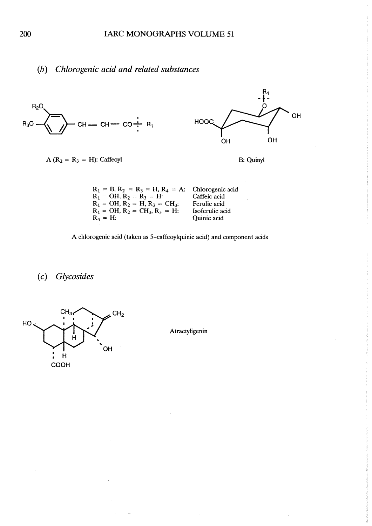## (b) Chlorogenic acid and related substances

![](_page_1_Figure_2.jpeg)

| $R_1 = OH$ , $R_2 = H$ , $R_3 = CH_3$ ; | Ferulic acid    |
|-----------------------------------------|-----------------|
| $R_1 = OH$ , $R_2 = CH_3$ , $R_3 = H$ : | Isoferulic acid |
| $R_A = H$ :                             | Quinic acid     |
|                                         |                 |

A chlorogenic acid (taken as S-caffeoylquinic acid) and component acids

(c) Glycosides

![](_page_1_Figure_6.jpeg)

Atractyligenin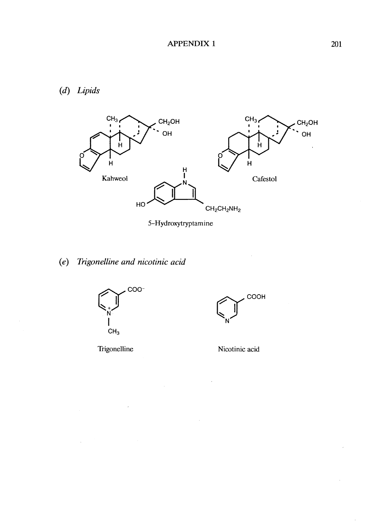$(d)$  Lipids

![](_page_2_Figure_2.jpeg)

5-Hydroxytryptamine

# (e) Trigonelline and nicotinic acid

![](_page_2_Figure_5.jpeg)

 $\bar{\gamma}$ 

Trigonelline

 $\hat{\boldsymbol{\beta}}$ 

![](_page_2_Figure_7.jpeg)

![](_page_2_Figure_8.jpeg)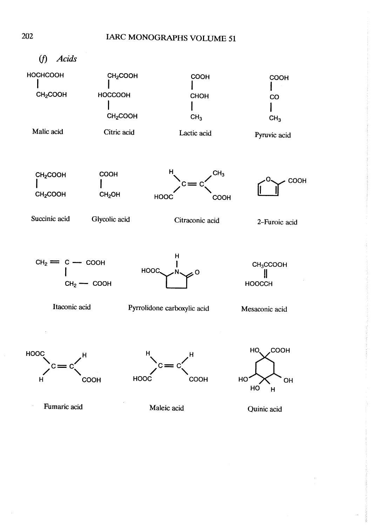![](_page_3_Figure_1.jpeg)

Fumaric acid

Maleic acid

Quinic acid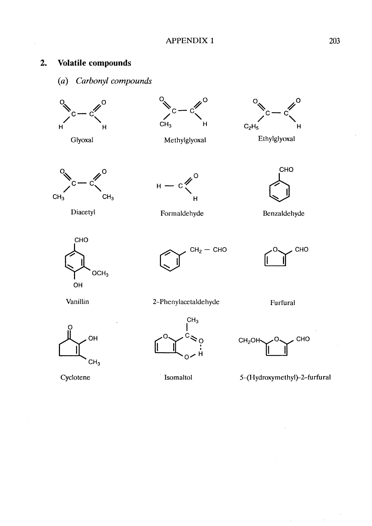#### $2.$ Volatile compounds

Carbonyl compounds  $(a)$ 

![](_page_4_Figure_4.jpeg)

![](_page_4_Figure_5.jpeg)

![](_page_4_Figure_6.jpeg)

Methylglyoxal

![](_page_4_Picture_8.jpeg)

Ethylglyoxal

![](_page_4_Figure_10.jpeg)

Diacetyl

![](_page_4_Figure_12.jpeg)

Formaldehyde

![](_page_4_Figure_14.jpeg)

Benzaldehyde

![](_page_4_Figure_16.jpeg)

![](_page_4_Figure_17.jpeg)

![](_page_4_Figure_18.jpeg)

Vanillin

![](_page_4_Figure_20.jpeg)

Cyclotene

2-Phenylacetaldehyde

Furfural

![](_page_4_Figure_24.jpeg)

Isomaltol

![](_page_4_Picture_25.jpeg)

5-(Hydroxymethyl)-2-furfural

 $\hat{\mathcal{E}}$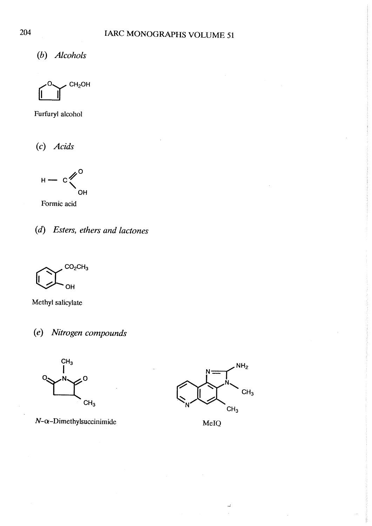(h) Alcohols

![](_page_5_Figure_2.jpeg)

Furfuryl alcohol

(c) Acids

$$
H - c \bigg\langle \bigg\langle \bigg\rangle_{\text{OH}}^0
$$

Formic acid

![](_page_5_Figure_7.jpeg)

![](_page_5_Figure_8.jpeg)

Methyl salicylate

(e) Nitrogen compounds

![](_page_5_Figure_11.jpeg)

 $N-\alpha$ -Dimethylsuccinimide MeIQ

![](_page_5_Figure_13.jpeg)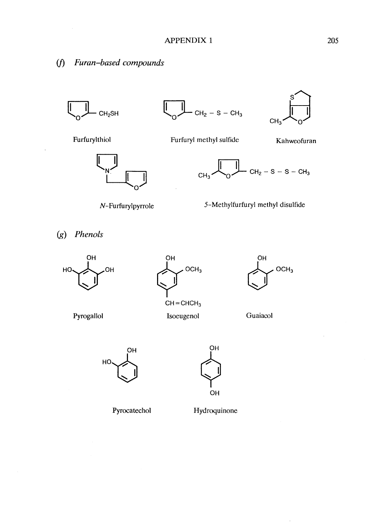## (f) Furan-based compounds

![](_page_6_Figure_2.jpeg)

![](_page_6_Figure_3.jpeg)

Furfuryl methyl sulfide

![](_page_6_Figure_4.jpeg)

Kahweofuran

Furfurylthiol

thiol (

![](_page_6_Figure_7.jpeg)

![](_page_6_Figure_9.jpeg)

5-Methylfurfuryl methyl disulfide

(g) Phenols

![](_page_6_Picture_12.jpeg)

Pyrogallol

![](_page_6_Picture_13.jpeg)

Isoeugenol

![](_page_6_Picture_15.jpeg)

 $\ddot{\phantom{a}}$ 

![](_page_6_Figure_16.jpeg)

 $H^{\text{O}}$ OH LJ

Pyrocatechol

Hydroquinone

OH

OH

 $\begin{picture}(120,20) \put(0,0){\line(1,0){155}} \put(15,0){\line(1,0){155}} \put(15,0){\line(1,0){155}} \put(15,0){\line(1,0){155}} \put(15,0){\line(1,0){155}} \put(15,0){\line(1,0){155}} \put(15,0){\line(1,0){155}} \put(15,0){\line(1,0){155}} \put(15,0){\line(1,0){155}} \put(15,0){\line(1,0){155}} \put(15,0){\line(1,0){155}}$ 

205